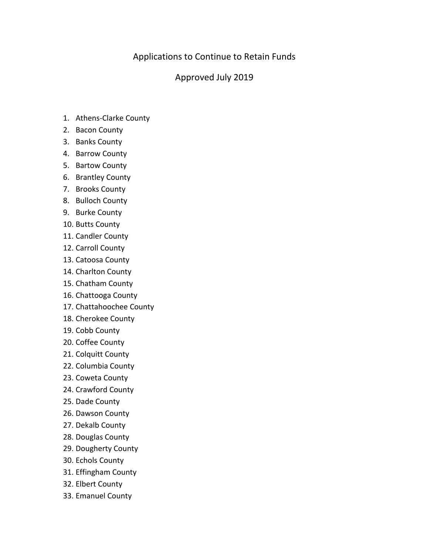## Applications to Continue to Retain Funds

## Approved July 2019

- 1. Athens-Clarke County
- 2. Bacon County
- 3. Banks County
- 4. Barrow County
- 5. Bartow County
- 6. Brantley County
- 7. Brooks County
- 8. Bulloch County
- 9. Burke County
- 10. Butts County
- 11. Candler County
- 12. Carroll County
- 13. Catoosa County
- 14. Charlton County
- 15. Chatham County
- 16. Chattooga County
- 17. Chattahoochee County
- 18. Cherokee County
- 19. Cobb County
- 20. Coffee County
- 21. Colquitt County
- 22. Columbia County
- 23. Coweta County
- 24. Crawford County
- 25. Dade County
- 26. Dawson County
- 27. Dekalb County
- 28. Douglas County
- 29. Dougherty County
- 30. Echols County
- 31. Effingham County
- 32. Elbert County
- 33. Emanuel County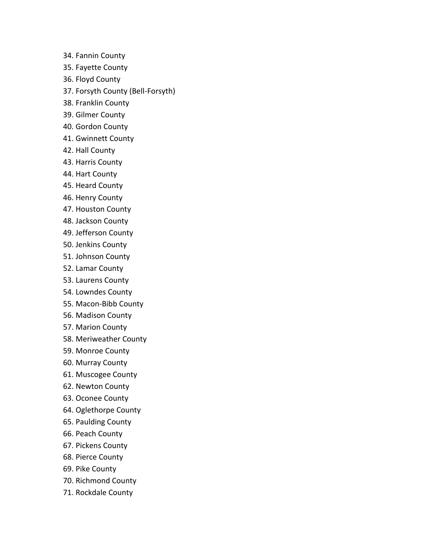- 34. Fannin County
- 35. Fayette County
- 36. Floyd County
- 37. Forsyth County (Bell-Forsyth)
- 38. Franklin County
- 39. Gilmer County
- 40. Gordon County
- 41. Gwinnett County
- 42. Hall County
- 43. Harris County
- 44. Hart County
- 45. Heard County
- 46. Henry County
- 47. Houston County
- 48. Jackson County
- 49. Jefferson County
- 50. Jenkins County
- 51. Johnson County
- 52. Lamar County
- 53. Laurens County
- 54. Lowndes County
- 55. Macon-Bibb County
- 56. Madison County
- 57. Marion County
- 58. Meriweather County
- 59. Monroe County
- 60. Murray County
- 61. Muscogee County
- 62. Newton County
- 63. Oconee County
- 64. Oglethorpe County
- 65. Paulding County
- 66. Peach County
- 67. Pickens County
- 68. Pierce County
- 69. Pike County
- 70. Richmond County
- 71. Rockdale County